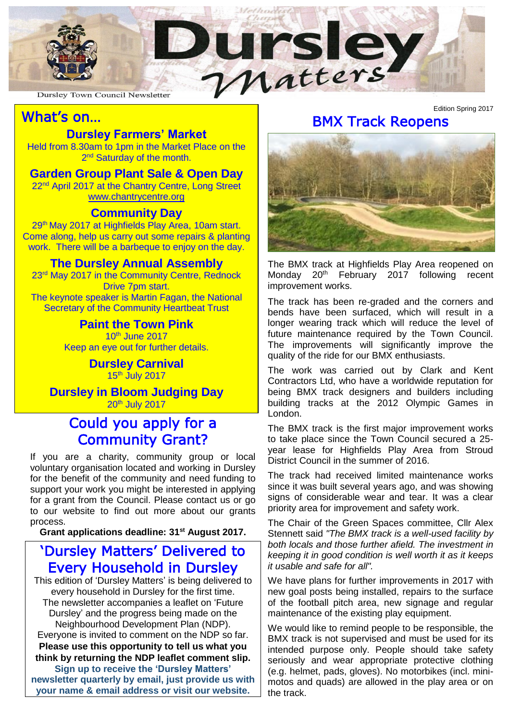

## i.

## What's on…

#### **Dursley Farmers' Market**

2<sup>nd</sup> Saturday of the month. Held from 8.30am to 1pm in the Market Place on the

### **Garden Group Plant Sale & Open Day**

*T* at the Chantry Centre<br>[www.chantrycentre.org](http://www.chantrycentre.org/) 22<sup>nd</sup> April 2017 at the Chantry Centre, Long Street

## **Community Day**

29<sup>th</sup> May 2017 at Highfields Play Area, 10am start. Come along, help us carry out some repairs & planting work. There will be a barbeque to enjoy on the day.

#### **The Dursley Annual Assembly**

23<sup>rd</sup> May 2017 in the Community Centre, Rednock Drive 7pm start. The keynote speaker is Martin Fagan, the National Secretary of the Community Heartbeat Trust

#### **Paint the Town Pink**

10th June 2017 Keep an eye out for further details.

> **Dursley Carnival**  $15<sup>th</sup>$  July 2017

#### **BIOOM JU<br>20th July 2017 Dursley in Bloom Judging Day**

### Could you apply for a Community Grant?

If you are a charity, community group or local voluntary organisation located and working in Dursley for the benefit of the community and need funding to support your work you might be interested in applying for a grant from the Council. Please contact us or go to our website to find out more about our grants process.

**Grant applications deadline: 31st August 2017.**

## 'Dursley Matters' Delivered to Every Household in Dursley

This edition of 'Dursley Matters' is being delivered to every household in Dursley for the first time. The newsletter accompanies a leaflet on 'Future Dursley' and the progress being made on the Neighbourhood Development Plan (NDP). Everyone is invited to comment on the NDP so far. **Please use this opportunity to tell us what you think by returning the NDP leaflet comment slip. Sign up to receive the 'Dursley Matters' newsletter quarterly by email, just provide us with your name & email address or visit our website.**

#### BMX Track Reopens

Edition Spring 2017



The BMX track at Highfields Play Area reopened on Monday 20th February 2017 following recent improvement works.

The track has been re-graded and the corners and bends have been surfaced, which will result in a longer wearing track which will reduce the level of future maintenance required by the Town Council. The improvements will significantly improve the quality of the ride for our BMX enthusiasts.

The work was carried out by Clark and Kent Contractors Ltd, who have a worldwide reputation for being BMX track designers and builders including building tracks at the 2012 Olympic Games in London.

The BMX track is the first major improvement works to take place since the Town Council secured a 25 year lease for Highfields Play Area from Stroud District Council in the summer of 2016.

The track had received limited maintenance works since it was built several years ago, and was showing signs of considerable wear and tear. It was a clear priority area for improvement and safety work.

The Chair of the Green Spaces committee, Cllr Alex Stennett said *"The BMX track is a well-used facility by both locals and those further afield. The investment in keeping it in good condition is well worth it as it keeps it usable and safe for all".*

We have plans for further improvements in 2017 with new goal posts being installed, repairs to the surface of the football pitch area, new signage and regular maintenance of the existing play equipment.

We would like to remind people to be responsible, the BMX track is not supervised and must be used for its intended purpose only. People should take safety seriously and wear appropriate protective clothing (e.g. helmet, pads, gloves). No motorbikes (incl. minimotos and quads) are allowed in the play area or on the track.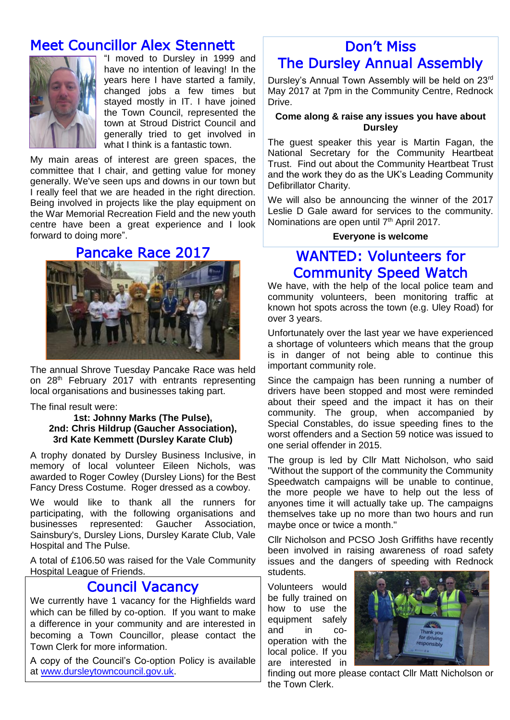## Meet Councillor Alex Stennett



"I moved to Dursley in 1999 and have no intention of leaving! In the years here I have started a family, changed jobs a few times but stayed mostly in IT. I have joined the Town Council, represented the town at Stroud District Council and generally tried to get involved in what I think is a fantastic town.

My main areas of interest are green spaces, the committee that I chair, and getting value for money generally. We've seen ups and downs in our town but I really feel that we are headed in the right direction. Being involved in projects like the play equipment on the War Memorial Recreation Field and the new youth centre have been a great experience and I look forward to doing more".

#### Pancake Race 2017



The annual Shrove Tuesday Pancake Race was held on 28<sup>th</sup> February 2017 with entrants representing local organisations and businesses taking part.

#### The final result were:

#### **1st: Johnny Marks (The Pulse), 2nd: Chris Hildrup (Gaucher Association), 3rd Kate Kemmett (Dursley Karate Club)**

A trophy donated by Dursley Business Inclusive, in memory of local volunteer Eileen Nichols, was awarded to Roger Cowley (Dursley Lions) for the Best Fancy Dress Costume. Roger dressed as a cowboy.

We would like to thank all the runners for participating, with the following organisations and businesses represented: Gaucher Association, Sainsbury's, Dursley Lions, Dursley Karate Club, Vale Hospital and The Pulse.

A total of £106.50 was raised for the Vale Community Hospital League of Friends.

#### Council Vacancy

We currently have 1 vacancy for the Highfields ward which can be filled by co-option. If you want to make a difference in your community and are interested in becoming a Town Councillor, please contact the Town Clerk for more information.

A copy of the Council's Co-option Policy is available at [www.dursleytowncouncil.gov.uk.](http://www.dursleytowncouncil.gov.uk/)

## Don't Miss The Dursley Annual Assembly

Dursley's Annual Town Assembly will be held on 23rd May 2017 at 7pm in the Community Centre, Rednock Drive.

#### **Come along & raise any issues you have about Dursley**

The guest speaker this year is Martin Fagan, the National Secretary for the Community Heartbeat Trust. Find out about the Community Heartbeat Trust and the work they do as the UK's Leading Community Defibrillator Charity.

We will also be announcing the winner of the 2017 Leslie D Gale award for services to the community. Nominations are open until 7<sup>th</sup> April 2017.

#### **Everyone is welcome**

### WANTED: Volunteers for Community Speed Watch

We have, with the help of the local police team and community volunteers, been monitoring traffic at known hot spots across the town (e.g. Uley Road) for over 3 years.

Unfortunately over the last year we have experienced a shortage of volunteers which means that the group is in danger of not being able to continue this important community role.

Since the campaign has been running a number of drivers have been stopped and most were reminded about their speed and the impact it has on their community. The group, when accompanied by Special Constables, do issue speeding fines to the worst offenders and a Section 59 notice was issued to one serial offender in 2015.

The group is led by Cllr Matt Nicholson, who said "Without the support of the community the Community Speedwatch campaigns will be unable to continue, the more people we have to help out the less of anyones time it will actually take up. The campaigns themselves take up no more than two hours and run maybe once or twice a month."

Cllr Nicholson and PCSO Josh Griffiths have recently been involved in raising awareness of road safety issues and the dangers of speeding with Rednock students.

Volunteers would be fully trained on how to use the equipment safely and in cooperation with the local police. If you are interested in



finding out more please contact Cllr Matt Nicholson or the Town Clerk.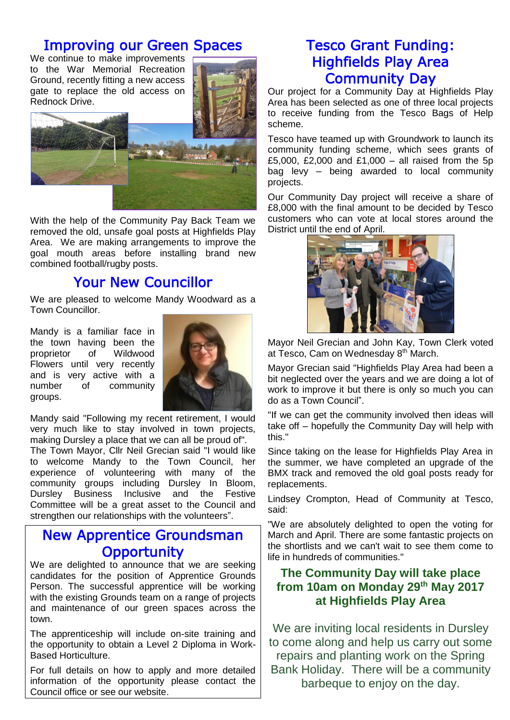## Improving our Green Spaces

We continue to make improvements to the War Memorial Recreation Ground, recently fitting a new access gate to replace the old access on Rednock Drive.



With the help of the Community Pay Back Team we removed the old, unsafe goal posts at Highfields Play Area. We are making arrangements to improve the goal mouth areas before installing brand new combined football/rugby posts.

## Your New Councillor

We are pleased to welcome Mandy Woodward as a Town Councillor.

Mandy is a familiar face in the town having been the proprietor of Wildwood Flowers until very recently and is very active with a number of community groups.



Mandy said "Following my recent retirement, I would very much like to stay involved in town projects, making Dursley a place that we can all be proud of".

The Town Mayor, Cllr Neil Grecian said "I would like to welcome Mandy to the Town Council, her experience of volunteering with many of the community groups including Dursley In Bloom, Dursley Business Inclusive and the Festive Committee will be a great asset to the Council and strengthen our relationships with the volunteers".

## New Apprentice Groundsman **Opportunity**

We are delighted to announce that we are seeking candidates for the position of Apprentice Grounds Person. The successful apprentice will be working with the existing Grounds team on a range of projects and maintenance of our green spaces across the town.

The apprenticeship will include on-site training and the opportunity to obtain a Level 2 Diploma in Work-Based Horticulture.

For full details on how to apply and more detailed information of the opportunity please contact the Council office or see our website.

## Tesco Grant Funding: Highfields Play Area Community Day

Our project for a Community Day at Highfields Play Area has been selected as one of three local projects to receive funding from the Tesco Bags of Help scheme.

Tesco have teamed up with Groundwork to launch its community funding scheme, which sees grants of £5,000, £2,000 and £1,000 – all raised from the 5p bag levy – being awarded to local community projects.

Our Community Day project will receive a share of £8,000 with the final amount to be decided by Tesco customers who can vote at local stores around the District until the end of April.



Mayor Neil Grecian and John Kay, Town Clerk voted at Tesco, Cam on Wednesday 8<sup>th</sup> March.

Mayor Grecian said "Highfields Play Area had been a bit neglected over the years and we are doing a lot of work to improve it but there is only so much you can do as a Town Council".

"If we can get the community involved then ideas will take off – hopefully the Community Day will help with this."

Since taking on the lease for Highfields Play Area in the summer, we have completed an upgrade of the BMX track and removed the old goal posts ready for replacements.

Lindsey Crompton, Head of Community at Tesco, said:

"We are absolutely delighted to open the voting for March and April. There are some fantastic projects on the shortlists and we can't wait to see them come to life in hundreds of communities."

#### **The Community Day will take place from 10am on Monday 29th May 2017 at Highfields Play Area**

We are inviting local residents in Dursley to come along and help us carry out some repairs and planting work on the Spring Bank Holiday. There will be a community barbeque to enjoy on the day.